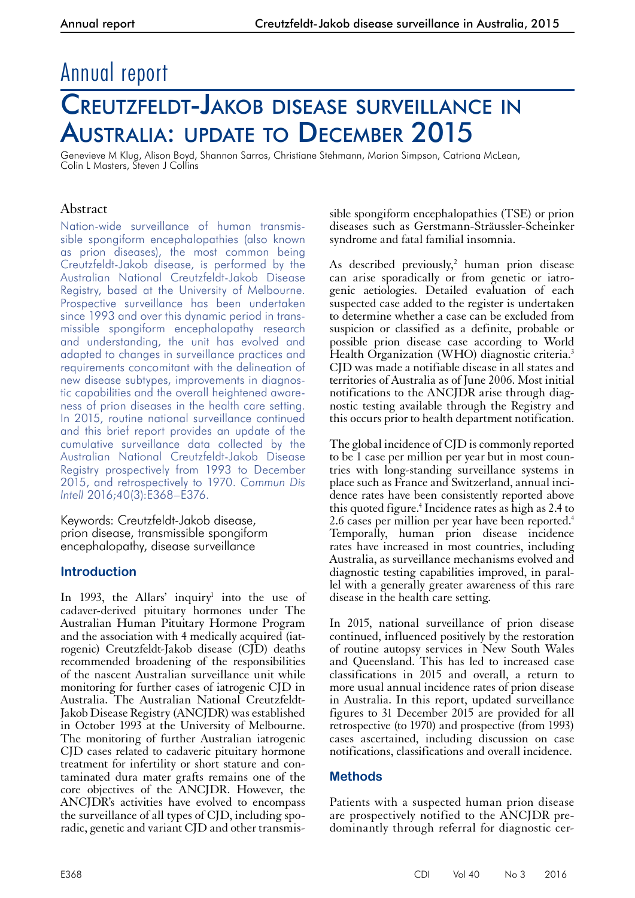# Annual report

# Creutzfeldt-Jakob disease surveillance in Australia: update to December 2015

Genevieve M Klug, Alison Boyd, Shannon Sarros, Christiane Stehmann, Marion Simpson, Catriona McLean, Colin L Masters, Steven J Collins

## Abstract

Nation-wide surveillance of human transmissible spongiform encephalopathies (also known as prion diseases), the most common being Creutzfeldt-Jakob disease, is performed by the Australian National Creutzfeldt-Jakob Disease Registry, based at the University of Melbourne. Prospective surveillance has been undertaken since 1993 and over this dynamic period in transmissible spongiform encephalopathy research and understanding, the unit has evolved and adapted to changes in surveillance practices and requirements concomitant with the delineation of new disease subtypes, improvements in diagnostic capabilities and the overall heightened awareness of prion diseases in the health care setting. In 2015, routine national surveillance continued and this brief report provides an update of the cumulative surveillance data collected by the Australian National Creutzfeldt-Jakob Disease Registry prospectively from 1993 to December 2015, and retrospectively to 1970. *Commun Dis Intell* 2016;40(3):E368–E376.

Keywords: Creutzfeldt-Jakob disease, prion disease, transmissible spongiform encephalopathy, disease surveillance

## **Introduction**

In 1993, the Allars' inquiry<sup>1</sup> into the use of cadaver-derived pituitary hormones under The Australian Human Pituitary Hormone Program and the association with 4 medically acquired (iatrogenic) Creutzfeldt-Jakob disease (CJD) deaths recommended broadening of the responsibilities of the nascent Australian surveillance unit while monitoring for further cases of iatrogenic CJD in Australia. The Australian National Creutzfeldt-Jakob Disease Registry (ANCJDR) was established in October 1993 at the University of Melbourne. The monitoring of further Australian iatrogenic CJD cases related to cadaveric pituitary hormone treatment for infertility or short stature and contaminated dura mater grafts remains one of the core objectives of the ANCJDR. However, the ANCJDR's activities have evolved to encompass the surveillance of all types of CJD, including sporadic, genetic and variant CJD and other transmis-

sible spongiform encephalopathies (TSE) or prion diseases such as Gerstmann-Sträussler-Scheinker syndrome and fatal familial insomnia.

As described previously,<sup>2</sup> human prion disease can arise sporadically or from genetic or iatrogenic aetiologies. Detailed evaluation of each suspected case added to the register is undertaken to determine whether a case can be excluded from suspicion or classified as a definite, probable or possible prion disease case according to World Health Organization (WHO) diagnostic criteria.<sup>3</sup> CJD was made a notifiable disease in all states and territories of Australia as of June 2006. Most initial notifications to the ANCJDR arise through diagnostic testing available through the Registry and this occurs prior to health department notification.

The global incidence of CJD is commonly reported to be 1 case per million per year but in most countries with long-standing surveillance systems in place such as France and Switzerland, annual incidence rates have been consistently reported above this quoted figure.4 Incidence rates as high as 2.4 to 2.6 cases per million per year have been reported.<sup>4</sup> Temporally, human prion disease incidence rates have increased in most countries, including Australia, as surveillance mechanisms evolved and diagnostic testing capabilities improved, in paral- lel with a generally greater awareness of this rare disease in the health care setting.

In 2015, national surveillance of prion disease continued, influenced positively by the restoration of routine autopsy services in New South Wales and Queensland. This has led to increased case classifications in 2015 and overall, a return to more usual annual incidence rates of prion disease in Australia. In this report, updated surveillance figures to 31 December 2015 are provided for all retrospective (to 1970) and prospective (from 1993) cases ascertained, including discussion on case notifications, classifications and overall incidence.

## **Methods**

Patients with a suspected human prion disease are prospectively notified to the ANCJDR predominantly through referral for diagnostic cer-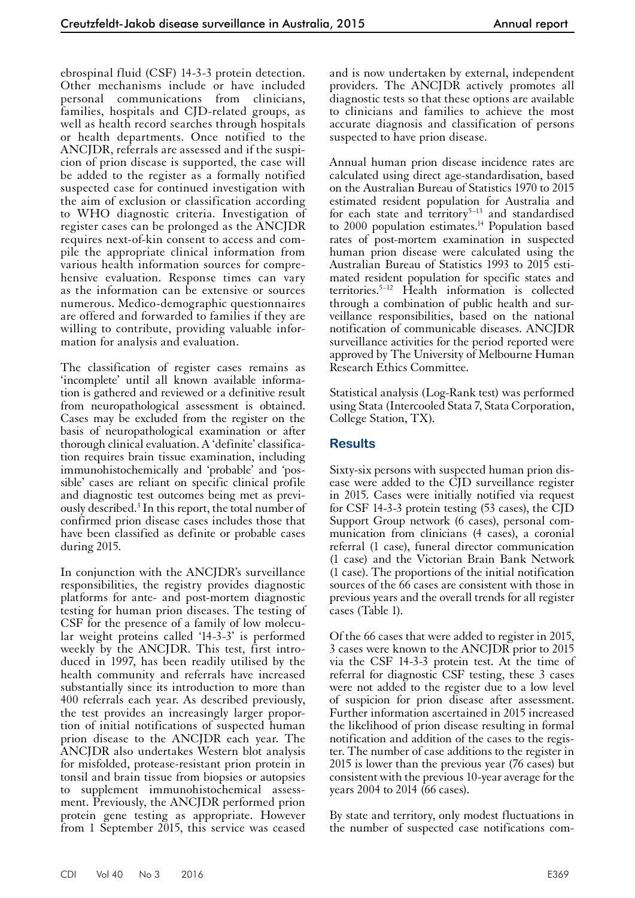ebrospinal fluid (CSF) 14-3-3 protein detection. Other mechanisms include or have included personal communications from clinicians, families, hospitals and CJD-related groups, as well as health record searches through hospitals or health departments. Once notified to the ANCJDR, referrals are assessed and if the suspicion of prion disease is supported, the case will be added to the register as a formally notified suspected case for continued investigation with the aim of exclusion or classification according to WHO diagnostic criteria. Investigation of register cases can be prolonged as the ANCJDR requires next-of-kin consent to access and compile the appropriate clinical information from various health information sources for comprehensive evaluation. Response times can vary as the information can be extensive or sources numerous. Medico-demographic questionnaires are offered and forwarded to families if they are willing to contribute, providing valuable information for analysis and evaluation.

The classification of register cases remains as 'incomplete' until all known available information is gathered and reviewed or a definitive result from neuropathological assessment is obtained. Cases may be excluded from the register on the basis of neuropathological examination or after thorough clinical evaluation. A 'definite' classification requires brain tissue examination, including immunohistochemically and 'probable' and 'possible' cases are reliant on specific clinical profile and diagnostic test outcomes being met as previously described.<sup>3</sup> In this report, the total number of confirmed prion disease cases includes those that have been classified as definite or probable cases during 2015.

In conjunction with the ANCJDR's surveillance responsibilities, the registry provides diagnostic platforms for ante- and post-mortem diagnostic testing for human prion diseases. The testing of CSF for the presence of a family of low molecular weight proteins called '14-3-3' is performed weekly by the ANCJDR. This test, first introduced in 1997, has been readily utilised by the health community and referrals have increased substantially since its introduction to more than 400 referrals each year. As described previously, the test provides an increasingly larger propor- tion of initial notifications of suspected human prion disease to the ANCJDR each year. The ANCJDR also undertakes Western blot analysis for misfolded, protease-resistant prion protein in tonsil and brain tissue from biopsies or autopsies to supplement immunohistochemical assessment. Previously, the ANCJDR performed prion protein gene testing as appropriate. However from 1 September 2015, this service was ceased

and is now undertaken by external, independent providers. The ANCJDR actively promotes all diagnostic tests so that these options are available to clinicians and families to achieve the most accurate diagnosis and classification of persons suspected to have prion disease.

Annual human prion disease incidence rates are calculated using direct age-standardisation, based on the Australian Bureau of Statistics 1970 to 2015 estimated resident population for Australia and for each state and territory $5-13$  and standardised to 2000 population estimates.<sup>14</sup> Population based rates of post-mortem examination in suspected human prion disease were calculated using the Australian Bureau of Statistics 1993 to 2015 estimated resident population for specific states and territories.5–12 Health information is collected through a combination of public health and surveillance responsibilities, based on the national notification of communicable diseases. ANCJDR surveillance activities for the period reported were approved by The University of Melbourne Human Research Ethics Committee.

Statistical analysis (Log-Rank test) was performed using Stata (Intercooled Stata 7, Stata Corporation, College Station, TX).

#### **Results**

Sixty-six persons with suspected human prion disease were added to the CJD surveillance register in 2015. Cases were initially notified via request for CSF 14-3-3 protein testing (53 cases), the CJD Support Group network (6 cases), personal com- munication from clinicians (4 cases), a coronial referral (1 case), funeral director communication (1 case) and the Victorian Brain Bank Network (1 case). The proportions of the initial notification sources of the 66 cases are consistent with those in previous years and the overall trends for all register cases (Table 1).

Of the 66 cases that were added to register in 2015, 3 cases were known to the ANCJDR prior to 2015 via the CSF 14-3-3 protein test. At the time of referral for diagnostic CSF testing, these 3 cases were not added to the register due to a low level of suspicion for prion disease after assessment. Further information ascertained in 2015 increased the likelihood of prion disease resulting in formal notification and addition of the cases to the regis-<br>ter. The number of case additions to the register in 2015 is lower than the previous year (76 cases) but consistent with the previous 10-year average for the years 2004 to 2014 (66 cases).

By state and territory, only modest fluctuations in the number of suspected case notifications com-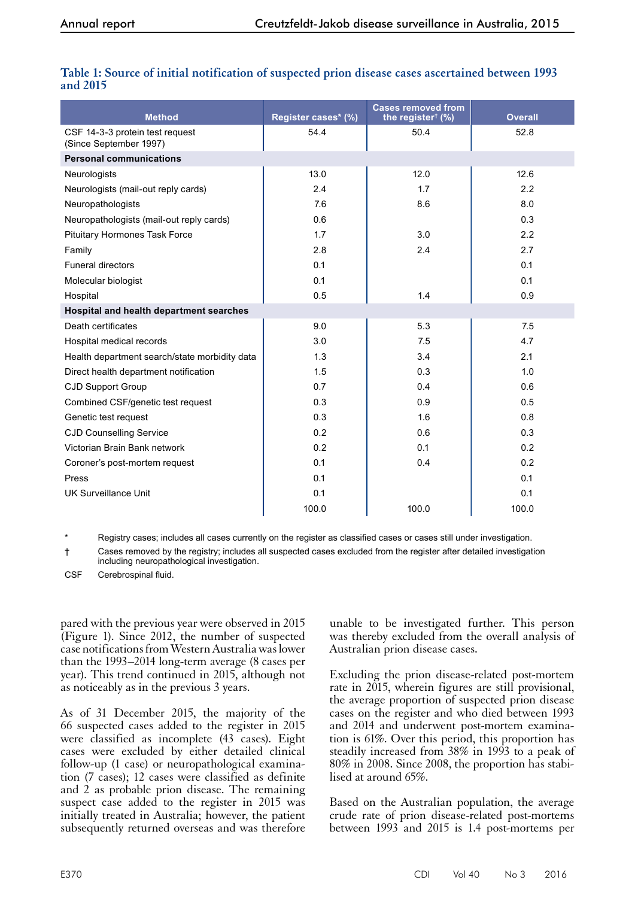| <b>Method</b>                                             | Register cases* (%) | <b>Cases removed from</b><br>the register <sup>†</sup> $(\%)$ | <b>Overall</b> |  |  |  |  |  |
|-----------------------------------------------------------|---------------------|---------------------------------------------------------------|----------------|--|--|--|--|--|
| CSF 14-3-3 protein test request<br>(Since September 1997) | 54.4                | 50.4                                                          | 52.8           |  |  |  |  |  |
| <b>Personal communications</b>                            |                     |                                                               |                |  |  |  |  |  |
| Neurologists                                              | 13.0                | 12.0                                                          | 12.6           |  |  |  |  |  |
| Neurologists (mail-out reply cards)                       | 2.4                 | 1.7                                                           | 2.2            |  |  |  |  |  |
| Neuropathologists                                         | 7.6                 | 8.6                                                           | 8.0            |  |  |  |  |  |
| Neuropathologists (mail-out reply cards)                  | 0.6                 |                                                               | 0.3            |  |  |  |  |  |
| <b>Pituitary Hormones Task Force</b>                      | 1.7                 | 3.0                                                           | 2.2            |  |  |  |  |  |
| Family                                                    | 2.8                 | 2.4                                                           | 2.7            |  |  |  |  |  |
| <b>Funeral directors</b>                                  | 0.1                 |                                                               | 0.1            |  |  |  |  |  |
| Molecular biologist                                       | 0.1                 |                                                               | 0.1            |  |  |  |  |  |
| Hospital                                                  | 0.5                 | 1.4                                                           | 0.9            |  |  |  |  |  |
| Hospital and health department searches                   |                     |                                                               |                |  |  |  |  |  |
| Death certificates                                        | 9.0                 | 5.3                                                           | 7.5            |  |  |  |  |  |
| Hospital medical records                                  | 3.0                 | 7.5                                                           | 4.7            |  |  |  |  |  |
| Health department search/state morbidity data             | 1.3                 | 3.4                                                           | 2.1            |  |  |  |  |  |
| Direct health department notification                     | 1.5                 | 0.3                                                           | 1.0            |  |  |  |  |  |
| <b>CJD Support Group</b>                                  | 0.7                 | 0.4                                                           | 0.6            |  |  |  |  |  |
| Combined CSF/genetic test request                         | 0.3                 | 0.9                                                           | 0.5            |  |  |  |  |  |
| Genetic test request                                      | 0.3                 | 1.6                                                           | 0.8            |  |  |  |  |  |
| <b>CJD Counselling Service</b>                            | 0.2                 | 0.6                                                           | 0.3            |  |  |  |  |  |
| Victorian Brain Bank network                              | 0.2                 | 0.1                                                           | 0.2            |  |  |  |  |  |
| Coroner's post-mortem request                             | 0.1                 | 0.4                                                           | 0.2            |  |  |  |  |  |
| Press                                                     | 0.1                 |                                                               | 0.1            |  |  |  |  |  |
| <b>UK Surveillance Unit</b>                               | 0.1                 |                                                               | 0.1            |  |  |  |  |  |
|                                                           | 100.0               | 100.0                                                         | 100.0          |  |  |  |  |  |

#### **Table 1: Source of initial notification of suspected prion disease cases ascertained between 1993 and 2015**

Registry cases; includes all cases currently on the register as classified cases or cases still under investigation.

† Cases removed by the registry; includes all suspected cases excluded from the register after detailed investigation including neuropathological investigation.

CSF Cerebrospinal fluid.

pared with the previous year were observed in 2015 (Figure 1). Since 2012, the number of suspected case notifications from Western Australia was lower than the 1993–2014 long-term average (8 cases per year). This trend continued in 2015, although not as noticeably as in the previous 3 years.

As of 31 December 2015, the majority of the 66 suspected cases added to the register in 2015 were classified as incomplete (43 cases). Eight cases were excluded by either detailed clinical follow-up (1 case) or neuropathological examination (7 cases); 12 cases were classified as definite and 2 as probable prion disease. The remaining suspect case added to the register in 2015 was initially treated in Australia; however, the patient subsequently returned overseas and was therefore

unable to be investigated further. This person was thereby excluded from the overall analysis of Australian prion disease cases.

Excluding the prion disease-related post-mortem rate in 2015, wherein figures are still provisional, the average proportion of suspected prion disease cases on the register and who died between 1993 and 2014 and underwent post-mortem examina- tion is 61%. Over this period, this proportion has steadily increased from 38% in 1993 to a peak of 80% in 2008. Since 2008, the proportion has stabilised at around 65%.

Based on the Australian population, the average crude rate of prion disease-related post-mortems between 1993 and 2015 is 1.4 post-mortems per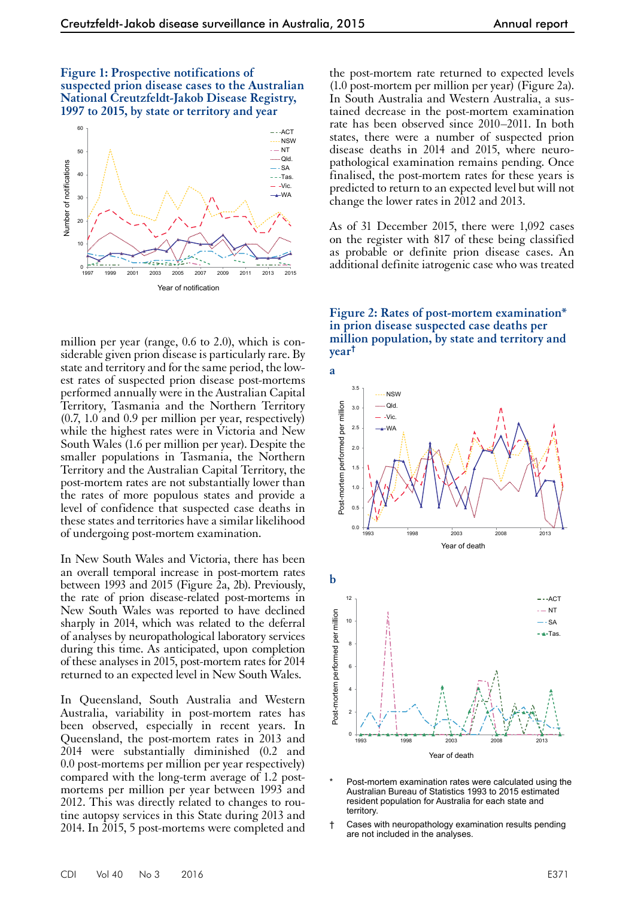**Figure 1: Prospective notifications of suspected prion disease cases to the Australian National Creutzfeldt-Jakob Disease Registry, 1997 to 2015, by state or territory and year**



million per year (range, 0.6 to 2.0), which is considerable given prion disease is particularly rare. By state and territory and for the same period, the lowest rates of suspected prion disease post-mortems performed annually were in the Australian Capital Territory, Tasmania and the Northern Territory (0.7, 1.0 and 0.9 per million per year, respectively) while the highest rates were in Victoria and New South Wales (1.6 per million per year). Despite the smaller populations in Tasmania, the Northern Territory and the Australian Capital Territory, the post-mortem rates are not substantially lower than the rates of more populous states and provide a level of confidence that suspected case deaths in these states and territories have a similar likelihood of undergoing post-mortem examination.

In New South Wales and Victoria, there has been an overall temporal increase in post-mortem rates between 1993 and 2015 (Figure 2a, 2b). Previously, the rate of prion disease-related post-mortems in New South Wales was reported to have declined sharply in 2014, which was related to the deferral of analyses by neuropathological laboratory services during this time. As anticipated, upon completion of these analyses in 2015, post-mortem rates for 2014 returned to an expected level in New South Wales.

In Queensland, South Australia and Western Australia, variability in post-mortem rates has been observed, especially in recent years. In Queensland, the post-mortem rates in 2013 and 2014 were substantially diminished (0.2 and 0.0 post-mortems per million per year respectively) compared with the long-term average of 1.2 postmortems per million per year between 1993 and 2012. This was directly related to changes to routine autopsy services in this State during 2013 and 2014. In 2015, 5 post-mortems were completed and the post-mortem rate returned to expected levels (1.0 post-mortem per million per year) (Figure 2a). In South Australia and Western Australia, a sustained decrease in the post-mortem examination rate has been observed since 2010–2011. In both states, there were a number of suspected prion disease deaths in 2014 and 2015, where neuropathological examination remains pending. Once finalised, the post-mortem rates for these years is predicted to return to an expected level but will not change the lower rates in 2012 and 2013.

As of 31 December 2015, there were 1,092 cases on the register with 817 of these being classified as probable or definite prion disease cases. An additional definite iatrogenic case who was treated

**Figure 2: Rates of post-mortem examination\* in prion disease suspected case deaths per million population, by state and territory and year†**



- Post-mortem examination rates were calculated using the Australian Bureau of Statistics 1993 to 2015 estimated resident population for Australia for each state and territory.
- † Cases with neuropathology examination results pending are not included in the analyses.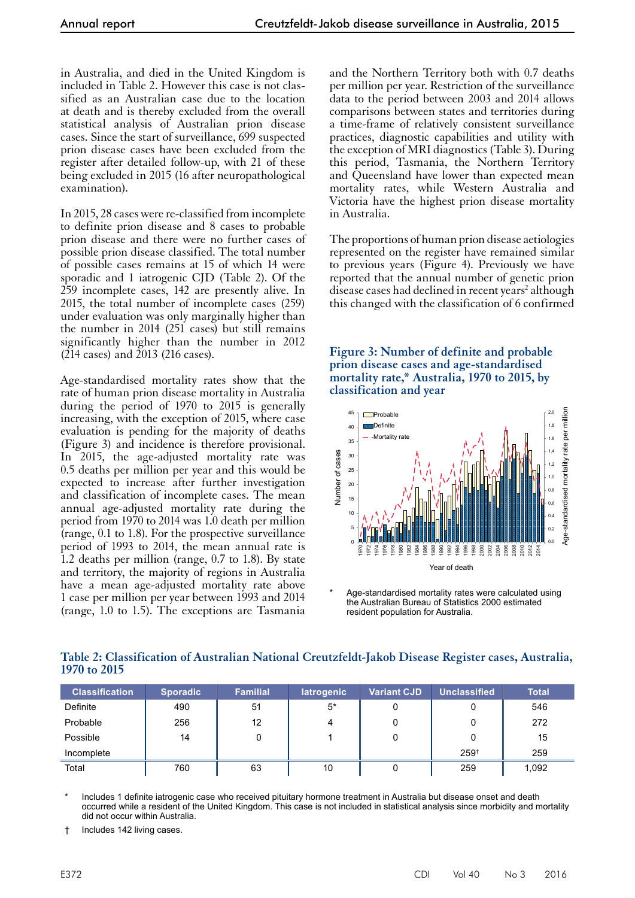in Australia, and died in the United Kingdom is included in Table 2. However this case is not classified as an Australian case due to the location at death and is thereby excluded from the overall statistical analysis of Australian prion disease cases. Since the start of surveillance, 699 suspected prion disease cases have been excluded from the register after detailed follow-up, with 21 of these being excluded in 2015 (16 after neuropathological examination).

In 2015, 28 cases were re-classified from incomplete to definite prion disease and 8 cases to probable prion disease and there were no further cases of possible prion disease classified. The total number of possible cases remains at 15 of which 14 were sporadic and 1 iatrogenic CJD (Table 2). Of the 259 incomplete cases, 142 are presently alive. In 2015, the total number of incomplete cases (259) under evaluation was only marginally higher than the number in 2014 (251 cases) but still remains significantly higher than the number in 2012 (214 cases) and 2013 (216 cases).

Age-standardised mortality rates show that the rate of human prion disease mortality in Australia during the period of 1970 to 2015 is generally increasing, with the exception of 2015, where case evaluation is pending for the majority of deaths (Figure 3) and incidence is therefore provisional. In 2015, the age-adjusted mortality rate was 0.5 deaths per million per year and this would be expected to increase after further investigation and classification of incomplete cases. The mean annual age-adjusted mortality rate during the period from 1970 to 2014 was 1.0 death per million (range, 0.1 to 1.8). For the prospective surveillance period of 1993 to 2014, the mean annual rate is 1.2 deaths per million (range, 0.7 to 1.8). By state and territory, the majority of regions in Australia have a mean age-adjusted mortality rate above 1 case per million per year between 1993 and 2014 (range, 1.0 to 1.5). The exceptions are Tasmania

and the Northern Territory both with 0.7 deaths per million per year. Restriction of the surveillance data to the period between 2003 and 2014 allows comparisons between states and territories during a time-frame of relatively consistent surveillance practices, diagnostic capabilities and utility with the exception of MRI diagnostics (Table 3). During this period, Tasmania, the Northern Territory and Queensland have lower than expected mean mortality rates, while Western Australia and Victoria have the highest prion disease mortality in Australia.

The proportions of human prion disease aetiologies represented on the register have remained similar to previous years (Figure 4). Previously we have reported that the annual number of genetic prion disease cases had declined in recent years<sup>2</sup> although this changed with the classification of 6 confirmed

**Figure 3: Number of definite and probable prion disease cases and age-standardised mortality rate,\* Australia, 1970 to 2015, by classification and year**



Age-standardised mortality rates were calculated using the Australian Bureau of Statistics 2000 estimated resident population for Australia.

| <b>Classification</b> | <b>Sporadic</b> | <b>Familial</b> | latrogenic | <b>Variant CJD</b> | <b>Unclassified</b> | <b>Total</b> |
|-----------------------|-----------------|-----------------|------------|--------------------|---------------------|--------------|
| Definite              | 490             | 51              | 5*         | 0                  |                     | 546          |
| Probable              | 256             | 12              |            | 0                  |                     | 272          |
| Possible              | 14              | 0               |            | 0                  |                     | 15           |
| Incomplete            |                 |                 |            |                    | $259^{+}$           | 259          |
| Total                 | 760             | 63              | 10         | 0                  | 259                 | 1,092        |

**Table 2: Classification of Australian National Creutzfeldt-Jakob Disease Register cases, Australia, 1970 to 2015**

Includes 1 definite iatrogenic case who received pituitary hormone treatment in Australia but disease onset and death occurred while a resident of the United Kingdom. This case is not included in statistical analysis since morbidity and mortality did not occur within Australia.

† Includes 142 living cases.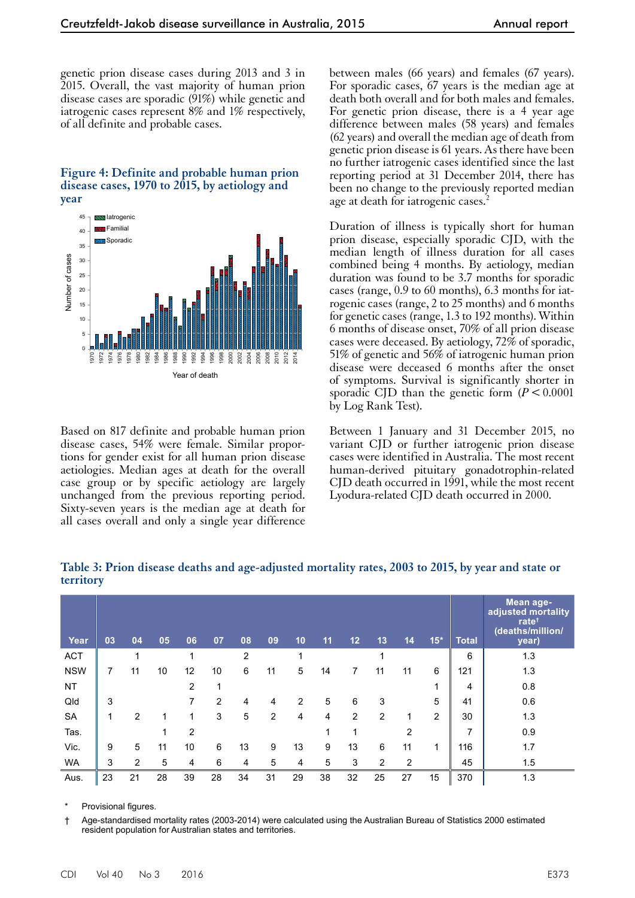genetic prion disease cases during 2013 and 3 in 2015. Overall, the vast majority of human prion disease cases are sporadic (91%) while genetic and iatrogenic cases represent 8% and 1% respectively, of all definite and probable cases.

#### **Figure 4: Definite and probable human prion disease cases, 1970 to 2015, by aetiology and year**



Based on 817 definite and probable human prion disease cases, 54% were female. Similar proportions for gender exist for all human prion disease aetiologies. Median ages at death for the overall case group or by specific aetiology are largely unchanged from the previous reporting period. Sixty-seven years is the median age at death for all cases overall and only a single year difference between males (66 years) and females (67 years). For sporadic cases, 67 years is the median age at death both overall and for both males and females. For genetic prion disease, there is a 4 year age difference between males (58 years) and females (62 years) and overall the median age of death from genetic prion disease is 61 years. As there have been no further iatrogenic cases identified since the last reporting period at 31 December 2014, there has been no change to the previously reported median age at death for iatrogenic cases.<sup>2</sup>

Duration of illness is typically short for human prion disease, especially sporadic CJD, with the median length of illness duration for all cases combined being 4 months. By aetiology, median duration was found to be 3.7 months for sporadic cases (range, 0.9 to 60 months), 6.3 months for iatrogenic cases (range, 2 to 25 months) and 6 months for genetic cases (range, 1.3 to 192 months). Within 6 months of disease onset, 70% of all prion disease cases were deceased. By aetiology, 72% of sporadic, 51% of genetic and 56% of iatrogenic human prion disease were deceased 6 months after the onset of symptoms. Survival is significantly shorter in sporadic CJD than the genetic form  $(P < 0.0001)$ by Log Rank Test).

Between 1 January and 31 December 2015, no variant CJD or further iatrogenic prion disease cases were identified in Australia. The most recent human-derived pituitary gonadotrophin-related CJD death occurred in 1991, while the most recent Lyodura-related CJD death occurred in 2000.

| Year       | 03 | 04             | 05 | 06             | 07 | 08 | 09 | 10 | 11 | 12 | 13             | 14             | $15*$ | <b>Total</b> | Mean age-<br>adjusted mortality<br>rate <sup>t</sup><br>(deaths/million/<br>year) |
|------------|----|----------------|----|----------------|----|----|----|----|----|----|----------------|----------------|-------|--------------|-----------------------------------------------------------------------------------|
| <b>ACT</b> |    | 1              |    | 1              |    | 2  |    |    |    |    | 1              |                |       | 6            | 1.3                                                                               |
| <b>NSW</b> | 7  | 11             | 10 | 12             | 10 | 6  | 11 | 5  | 14 | 7  | 11             | 11             | 6     | 121          | 1.3                                                                               |
| <b>NT</b>  |    |                |    | $\overline{2}$ | 1  |    |    |    |    |    |                |                | 1     | 4            | 0.8                                                                               |
| Qld        | 3  |                |    | 7              | 2  | 4  | 4  | 2  | 5  | 6  | 3              |                | 5     | 41           | 0.6                                                                               |
| <b>SA</b>  | 1  | $\overline{2}$ | 1  | 1              | 3  | 5  | 2  | 4  | 4  | 2  | $\overline{2}$ | 1              | 2     | 30           | 1.3                                                                               |
| Tas.       |    |                | 1  | $\overline{2}$ |    |    |    |    | 1  | 1  |                | $\overline{2}$ |       | 7            | 0.9                                                                               |
| Vic.       | 9  | 5              | 11 | 10             | 6  | 13 | 9  | 13 | 9  | 13 | 6              | 11             | 1     | 116          | 1.7                                                                               |
| <b>WA</b>  | 3  | 2              | 5  | 4              | 6  | 4  | 5  | 4  | 5  | 3  | 2              | 2              |       | 45           | 1.5                                                                               |
| Aus.       | 23 | 21             | 28 | 39             | 28 | 34 | 31 | 29 | 38 | 32 | 25             | 27             | 15    | 370          | 1.3                                                                               |

**Table 3: Prion disease deaths and age-adjusted mortality rates, 2003 to 2015, by year and state or territory**

Provisional figures.

† Age-standardised mortality rates (2003-2014) were calculated using the Australian Bureau of Statistics 2000 estimated resident population for Australian states and territories.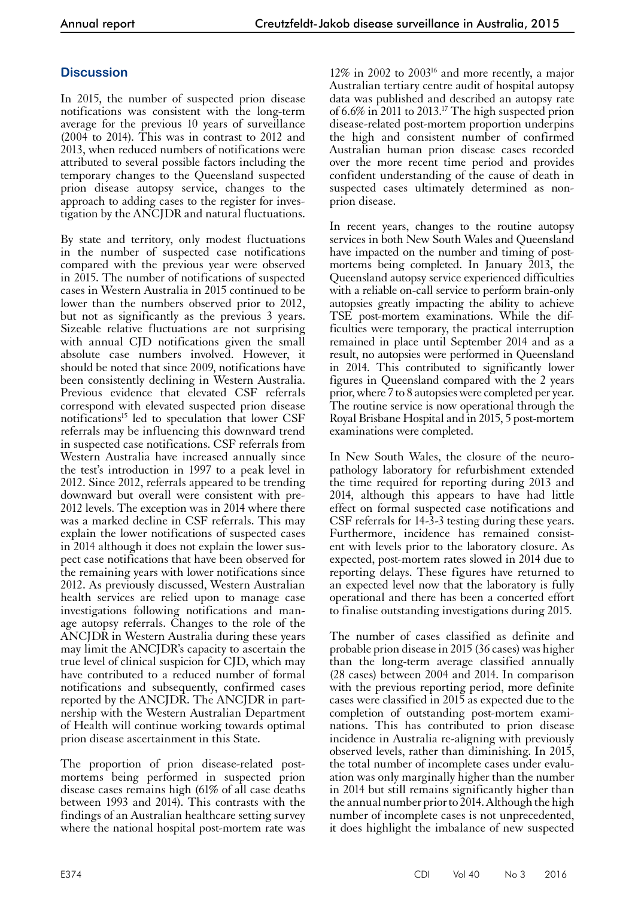### **Discussion**

In 2015, the number of suspected prion disease notifications was consistent with the long-term average for the previous 10 years of surveillance (2004 to 2014). This was in contrast to 2012 and 2013, when reduced numbers of notifications were attributed to several possible factors including the temporary changes to the Queensland suspected prion disease autopsy service, changes to the approach to adding cases to the register for investigation by the ANCJDR and natural fluctuations.

By state and territory, only modest fluctuations in the number of suspected case notifications compared with the previous year were observed in 2015. The number of notifications of suspected cases in Western Australia in 2015 continued to be lower than the numbers observed prior to 2012, but not as significantly as the previous 3 years. Sizeable relative fluctuations are not surprising with annual CJD notifications given the small absolute case numbers involved. However, it should be noted that since 2009, notifications have been consistently declining in Western Australia. Previous evidence that elevated CSF referrals correspond with elevated suspected prion disease notifications<sup>15</sup> led to speculation that lower CSF referrals may be influencing this downward trend in suspected case notifications. CSF referrals from Western Australia have increased annually since the test's introduction in 1997 to a peak level in 2012. Since 2012, referrals appeared to be trending downward but overall were consistent with pre-2012 levels. The exception was in 2014 where there was a marked decline in CSF referrals. This may explain the lower notifications of suspected cases in 2014 although it does not explain the lower sus- pect case notifications that have been observed for the remaining years with lower notifications since 2012. As previously discussed, Western Australian health services are relied upon to manage case investigations following notifications and man- age autopsy referrals. Changes to the role of the ANCJDR in Western Australia during these years may limit the ANCJDR's capacity to ascertain the true level of clinical suspicion for CJD, which may have contributed to a reduced number of formal notifications and subsequently, confirmed cases reported by the ANCJDR. The ANCJDR in partnership with the Western Australian Department of Health will continue working towards optimal prion disease ascertainment in this State.

The proportion of prion disease-related postmortems being performed in suspected prion disease cases remains high (61% of all case deaths between 1993 and 2014). This contrasts with the findings of an Australian healthcare setting survey where the national hospital post-mortem rate was

12% in 2002 to 200316 and more recently, a major Australian tertiary centre audit of hospital autopsy data was published and described an autopsy rate of 6.6% in 2011 to 2013.17 The high suspected prion disease-related post-mortem proportion underpins the high and consistent number of confirmed Australian human prion disease cases recorded over the more recent time period and provides confident understanding of the cause of death in suspected cases ultimately determined as nonprion disease.

In recent years, changes to the routine autopsy services in both New South Wales and Queensland have impacted on the number and timing of postmortems being completed. In January 2013, the Queensland autopsy service experienced difficulties with a reliable on-call service to perform brain-only autopsies greatly impacting the ability to achieve TSE post-mortem examinations. While the difficulties were temporary, the practical interruption remained in place until September 2014 and as a result, no autopsies were performed in Queensland in 2014. This contributed to significantly lower figures in Queensland compared with the 2 years prior, where 7 to 8 autopsies were completed per year. The routine service is now operational through the Royal Brisbane Hospital and in 2015, 5 post-mortem examinations were completed.

In New South Wales, the closure of the neuropathology laboratory for refurbishment extended the time required for reporting during 2013 and 2014, although this appears to have had little effect on formal suspected case notifications and CSF referrals for 14-3-3 testing during these years. Furthermore, incidence has remained consistent with levels prior to the laboratory closure. As expected, post-mortem rates slowed in 2014 due to reporting delays. These figures have returned to an expected level now that the laboratory is fully operational and there has been a concerted effort to finalise outstanding investigations during 2015.

The number of cases classified as definite and probable prion disease in 2015 (36 cases) was higher than the long-term average classified annually (28 cases) between 2004 and 2014. In comparison with the previous reporting period, more definite cases were classified in 2015 as expected due to the completion of outstanding post-mortem exami- nations. This has contributed to prion disease incidence in Australia re-aligning with previously observed levels, rather than diminishing. In 2015, the total number of incomplete cases under evaluation was only marginally higher than the number in 2014 but still remains significantly higher than the annual number prior to 2014. Although the high number of incomplete cases is not unprecedented, it does highlight the imbalance of new suspected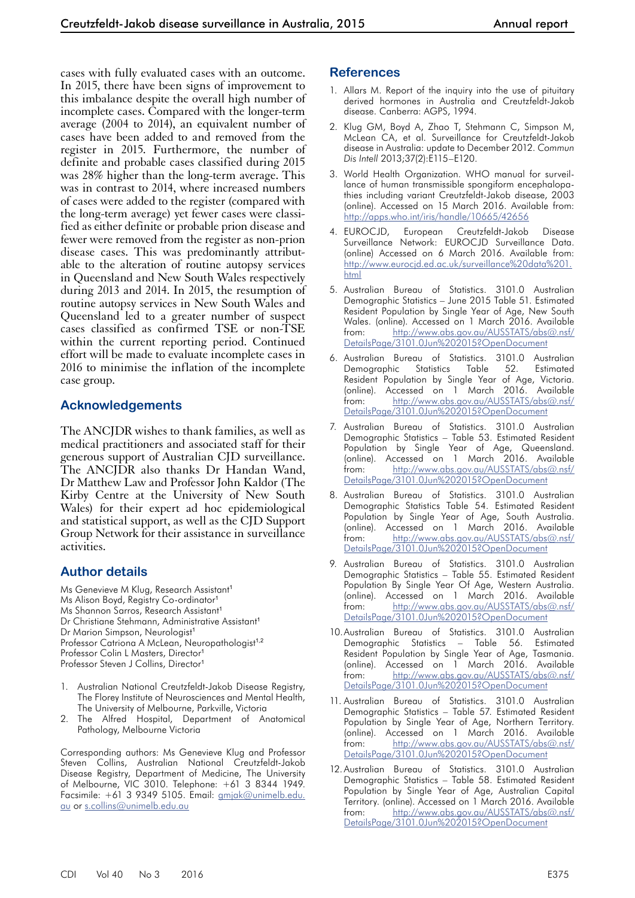cases with fully evaluated cases with an outcome. In 2015, there have been signs of improvement to this imbalance despite the overall high number of incomplete cases. Compared with the longer-term average (2004 to 2014), an equivalent number of cases have been added to and removed from the register in 2015. Furthermore, the number of definite and probable cases classified during 2015 was 28% higher than the long-term average. This was in contrast to 2014, where increased numbers of cases were added to the register (compared with the long-term average) yet fewer cases were classified as either definite or probable prion disease and fewer were removed from the register as non-prion disease cases. This was predominantly attributable to the alteration of routine autopsy services in Queensland and New South Wales respectively during 2013 and 2014. In 2015, the resumption of routine autopsy services in New South Wales and Queensland led to a greater number of suspect cases classified as confirmed TSE or non-TSE within the current reporting period. Continued effort will be made to evaluate incomplete cases in 2016 to minimise the inflation of the incomplete case group.

#### **Acknowledgements**

The ANCJDR wishes to thank families, as well as medical practitioners and associated staff for their generous support of Australian CJD surveillance. The ANCJDR also thanks Dr Handan Wand, Dr Matthew Law and Professor John Kaldor (The Kirby Centre at the University of New South Wales) for their expert ad hoc epidemiological and statistical support, as well as the CJD Support Group Network for their assistance in surveillance activities.

### **Author details**

Ms Genevieve M Klug, Research Assistant<sup>1</sup> Ms Alison Boyd, Registry Co-ordinator<sup>1</sup> Ms Shannon Sarros, Research Assistant<sup>1</sup> Dr Christiane Stehmann, Administrative Assistant<sup>1</sup> Dr Marion Simpson, Neurologist<sup>1</sup> Professor Catriona A McLean, Neuropathologist<sup>1,2</sup> Professor Colin L Masters, Director<sup>1</sup> Professor Steven J Collins, Director<sup>1</sup>

- 1. Australian National Creutzfeldt-Jakob Disease Registry, The Florey Institute of Neurosciences and Mental Health, The University of Melbourne, Parkville, Victoria
- 2. The Alfred Hospital, Department of Anatomical Pathology, Melbourne Victoria

Corresponding authors: Ms Genevieve Klug and Professor Steven Collins, Australian National Creutzfeldt-Jakob Disease Registry, Department of Medicine, The University of Melbourne, VIC 3010. Telephone: +61 3 8344 1949. Facsimile: +61 3 9349 5105. Email: [gmjak@unimelb.edu.](mailto:gmjak@unimelb.edu.au) [au](mailto:gmjak@unimelb.edu.au) or [s.collins@unimelb.edu.au](mailto:s.collins@unimelb.edu.au)

#### **References**

- 1. Allars M. Report of the inquiry into the use of pituitary derived hormones in Australia and Creutzfeldt-Jakob disease. Canberra: AGPS, 1994.
- 2. Klug GM, Boyd A, Zhao T, Stehmann C, Simpson M, McLean CA, et al. Surveillance for Creutzfeldt-Jakob disease in Australia: update to December 2012. *Commun Dis Intell* 2013;37(2):E115–E120.
- 3. World Health Organization. WHO manual for surveillance of human transmissible spongiform encephalopathies including variant Creutzfeldt-Jakob disease, 2003 (online). Accessed on 15 March 2016. Available from: <http://apps.who.int/iris/handle/10665/42656>
- 4. EUROCJD, European Creutzfeldt-Jakob Disease Surveillance Network: EUROCJD Surveillance Data. (online) Accessed on 6 March 2016. Available from: [http://www.eurocjd.ed.ac.uk/surveillance%20data%201.](http://www.eurocjd.ed.ac.uk/surveillance%20data%201.html) [html](http://www.eurocjd.ed.ac.uk/surveillance%20data%201.html)
- 5. Australian Bureau of Statistics. 3101.0 Australian Demographic Statistics – June 2015 Table 51. Estimated Resident Population by Single Year of Age, New South Wales. (online). Accessed on 1 March 2016. Available from: [http://www.abs.gov.au/AUSSTATS/abs@.nsf/](http://www.abs.gov.au/AUSSTATS/abs@.nsf/DetailsPage/3101.0Jun%202015?OpenDocument) [DetailsPage/3101.0Jun%202015?OpenDocument](http://www.abs.gov.au/AUSSTATS/abs@.nsf/DetailsPage/3101.0Jun%202015?OpenDocument)
- 6. Australian Bureau of Statistics. 3101.0 Australian Demographic Statistics Table 52. Estimated Resident Population by Single Year of Age, Victoria. (online). Accessed on 1 March 2016. Available from: [http://www.abs.gov.au/AUSSTATS/abs@.nsf/](http://www.abs.gov.au/AUSSTATS/abs@.nsf/DetailsPage/3101.0Jun%202015?OpenDocument) [DetailsPage/3101.0Jun%202015?OpenDocument](http://www.abs.gov.au/AUSSTATS/abs@.nsf/DetailsPage/3101.0Jun%202015?OpenDocument)
- 7. Australian Bureau of Statistics. 3101.0 Australian Demographic Statistics – Table 53. Estimated Resident Population by Single Year of Age, Queensland. (online). Accessed on 1 March 2016. Available from: [http://www.abs.gov.au/AUSSTATS/abs@.nsf/](http://www.abs.gov.au/AUSSTATS/abs@.nsf/DetailsPage/3101.0Jun%202015?OpenDocument) [DetailsPage/3101.0Jun%202015?OpenDocument](http://www.abs.gov.au/AUSSTATS/abs@.nsf/DetailsPage/3101.0Jun%202015?OpenDocument)
- 8. Australian Bureau of Statistics. 3101.0 Australian Demographic Statistics Table 54. Estimated Resident Population by Single Year of Age, South Australia. (online). Accessed on 1 March 2016. Available from: [http://www.abs.gov.au/AUSSTATS/abs@.nsf/](http://www.abs.gov.au/AUSSTATS/abs@.nsf/DetailsPage/3101.0Jun%202015?OpenDocument) [DetailsPage/3101.0Jun%202015?OpenDocument](http://www.abs.gov.au/AUSSTATS/abs@.nsf/DetailsPage/3101.0Jun%202015?OpenDocument)
- 9. Australian Bureau of Statistics. 3101.0 Australian Demographic Statistics – Table 55. Estimated Resident Population By Single Year Of Age, Western Australia. (online). Accessed on 1 March 2016. Available from: [http://www.abs.gov.au/AUSSTATS/abs@.nsf/](http://www.abs.gov.au/AUSSTATS/abs@.nsf/DetailsPage/3101.0Jun%202015?OpenDocument) [DetailsPage/3101.0Jun%202015?OpenDocument](http://www.abs.gov.au/AUSSTATS/abs@.nsf/DetailsPage/3101.0Jun%202015?OpenDocument)
- 10.Australian Bureau of Statistics. 3101.0 Australian Demographic Statistics – Table 56. Estimated Resident Population by Single Year of Age, Tasmania. (online). Accessed on 1 March 2016. Available from: [http://www.abs.gov.au/AUSSTATS/abs@.nsf/](http://www.abs.gov.au/AUSSTATS/abs@.nsf/DetailsPage/3101.0Jun%202015?OpenDocument) [DetailsPage/3101.0Jun%202015?OpenDocument](http://www.abs.gov.au/AUSSTATS/abs@.nsf/DetailsPage/3101.0Jun%202015?OpenDocument)
- 11. Australian Bureau of Statistics. 3101.0 Australian Demographic Statistics – Table 57. Estimated Resident Population by Single Year of Age, Northern Territory. (online). Accessed on 1 March 2016. Available from: [http://www.abs.gov.au/AUSSTATS/abs@.nsf/](http://www.abs.gov.au/AUSSTATS/abs@.nsf/DetailsPage/3101.0Jun%202015?OpenDocument) [DetailsPage/3101.0Jun%202015?OpenDocument](http://www.abs.gov.au/AUSSTATS/abs@.nsf/DetailsPage/3101.0Jun%202015?OpenDocument)
- 12.Australian Bureau of Statistics. 3101.0 Australian Demographic Statistics – Table 58. Estimated Resident Population by Single Year of Age, Australian Capital Territory. (online). Accessed on 1 March 2016. Available from: [http://www.abs.gov.au/AUSSTATS/abs@.nsf/](http://www.abs.gov.au/AUSSTATS/abs@.nsf/DetailsPage/3101.0Jun%202015?OpenDocument) [DetailsPage/3101.0Jun%202015?OpenDocument](http://www.abs.gov.au/AUSSTATS/abs@.nsf/DetailsPage/3101.0Jun%202015?OpenDocument)